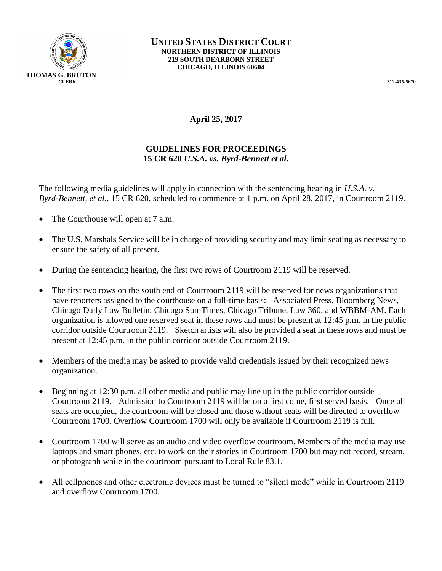

## **April 25, 2017**

## **GUIDELINES FOR PROCEEDINGS 15 CR 620** *U.S.A. vs. Byrd-Bennett et al.*

The following media guidelines will apply in connection with the sentencing hearing in *U.S.A. v. Byrd-Bennett, et al.*, 15 CR 620, scheduled to commence at 1 p.m. on April 28, 2017, in Courtroom 2119.

- The Courthouse will open at 7 a.m.
- The U.S. Marshals Service will be in charge of providing security and may limit seating as necessary to ensure the safety of all present.
- During the sentencing hearing, the first two rows of Courtroom 2119 will be reserved.
- The first two rows on the south end of Courtroom 2119 will be reserved for news organizations that have reporters assigned to the courthouse on a full-time basis: Associated Press, Bloomberg News, Chicago Daily Law Bulletin, Chicago Sun-Times, Chicago Tribune, Law 360, and WBBM-AM. Each organization is allowed one reserved seat in these rows and must be present at 12:45 p.m. in the public corridor outside Courtroom 2119. Sketch artists will also be provided a seat in these rows and must be present at 12:45 p.m. in the public corridor outside Courtroom 2119.
- Members of the media may be asked to provide valid credentials issued by their recognized news organization.
- Beginning at 12:30 p.m. all other media and public may line up in the public corridor outside Courtroom 2119. Admission to Courtroom 2119 will be on a first come, first served basis. Once all seats are occupied, the courtroom will be closed and those without seats will be directed to overflow Courtroom 1700. Overflow Courtroom 1700 will only be available if Courtroom 2119 is full.
- Courtroom 1700 will serve as an audio and video overflow courtroom. Members of the media may use laptops and smart phones, etc. to work on their stories in Courtroom 1700 but may not record, stream, or photograph while in the courtroom pursuant to Local Rule 83.1.
- All cellphones and other electronic devices must be turned to "silent mode" while in Courtroom 2119 and overflow Courtroom 1700.